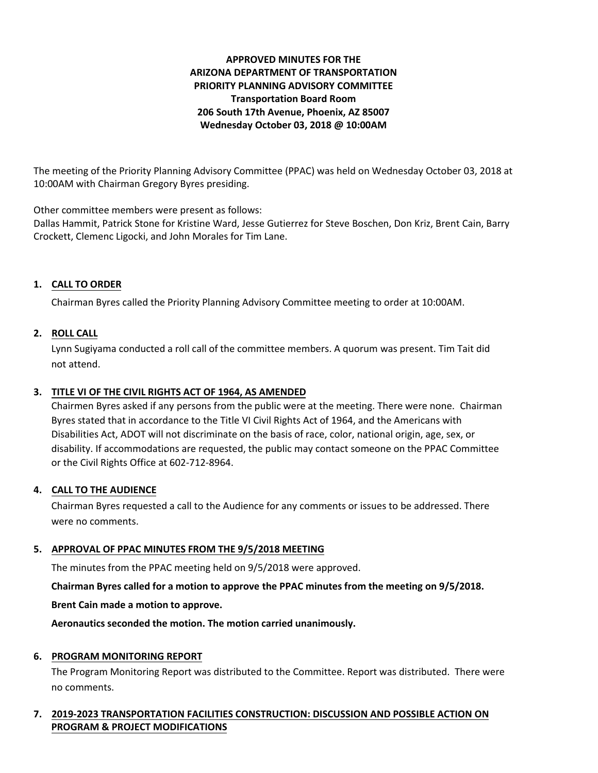# **APPROVED MINUTES FOR THE ARIZONA DEPARTMENT OF TRANSPORTATION PRIORITY PLANNING ADVISORY COMMITTEE Transportation Board Room 206 South 17th Avenue, Phoenix, AZ 85007 Wednesday October 03, 2018 @ 10:00AM**

The meeting of the Priority Planning Advisory Committee (PPAC) was held on Wednesday October 03, 2018 at 10:00AM with Chairman Gregory Byres presiding.

Other committee members were present as follows:

Dallas Hammit, Patrick Stone for Kristine Ward, Jesse Gutierrez for Steve Boschen, Don Kriz, Brent Cain, Barry Crockett, Clemenc Ligocki, and John Morales for Tim Lane.

# **1. CALL TO ORDER**

Chairman Byres called the Priority Planning Advisory Committee meeting to order at 10:00AM.

## **2. ROLL CALL**

Lynn Sugiyama conducted a roll call of the committee members. A quorum was present. Tim Tait did not attend.

### **3. TITLE VI OF THE CIVIL RIGHTS ACT OF 1964, AS AMENDED**

Chairmen Byres asked if any persons from the public were at the meeting. There were none. Chairman Byres stated that in accordance to the Title VI Civil Rights Act of 1964, and the Americans with Disabilities Act, ADOT will not discriminate on the basis of race, color, national origin, age, sex, or disability. If accommodations are requested, the public may contact someone on the PPAC Committee or the Civil Rights Office at 602-712-8964.

### **4. CALL TO THE AUDIENCE**

Chairman Byres requested a call to the Audience for any comments or issues to be addressed. There were no comments.

### **5. APPROVAL OF PPAC MINUTES FROM THE 9/5/2018 MEETING**

The minutes from the PPAC meeting held on 9/5/2018 were approved.

**Chairman Byres called for a motion to approve the PPAC minutes from the meeting on 9/5/2018.**

**Brent Cain made a motion to approve.**

**Aeronautics seconded the motion. The motion carried unanimously.**

# **6. PROGRAM MONITORING REPORT**

The Program Monitoring Report was distributed to the Committee. Report was distributed. There were no comments.

## **7. 2019-2023 TRANSPORTATION FACILITIES CONSTRUCTION: DISCUSSION AND POSSIBLE ACTION ON PROGRAM & PROJECT MODIFICATIONS**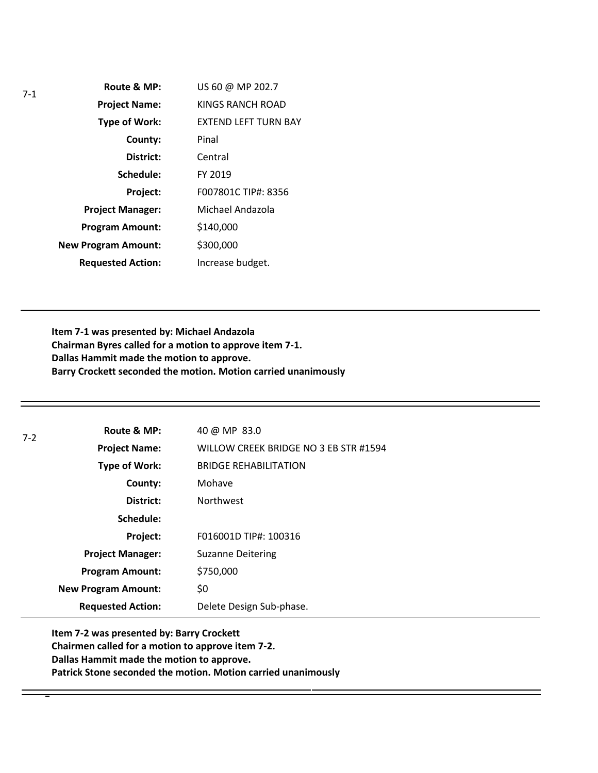| $7-1$ | Route & MP:                | US 60 @ MP 202.7            |
|-------|----------------------------|-----------------------------|
|       | <b>Project Name:</b>       | <b>KINGS RANCH ROAD</b>     |
|       | Type of Work:              | <b>EXTEND LEFT TURN BAY</b> |
|       | County:                    | Pinal                       |
|       | District:                  | Central                     |
|       | Schedule:                  | FY 2019                     |
|       | Project:                   | F007801C TIP#: 8356         |
|       | <b>Project Manager:</b>    | Michael Andazola            |
|       | <b>Program Amount:</b>     | \$140,000                   |
|       | <b>New Program Amount:</b> | \$300,000                   |
|       | <b>Requested Action:</b>   | Increase budget.            |

**Item 7-1 was presented by: Michael Andazola Chairman Byres called for a motion to approve item 7-1. Dallas Hammit made the motion to approve. Barry Crockett seconded the motion. Motion carried unanimously**

| 7-2 | Route & MP:                | 40 @ MP 83.0                          |
|-----|----------------------------|---------------------------------------|
|     | <b>Project Name:</b>       | WILLOW CREEK BRIDGE NO 3 EB STR #1594 |
|     | Type of Work:              | <b>BRIDGE REHABILITATION</b>          |
|     | County:                    | Mohave                                |
|     | District:                  | <b>Northwest</b>                      |
|     | Schedule:                  |                                       |
|     | Project:                   | F016001D TIP#: 100316                 |
|     | <b>Project Manager:</b>    | <b>Suzanne Deitering</b>              |
|     | <b>Program Amount:</b>     | \$750,000                             |
|     | <b>New Program Amount:</b> | \$0                                   |
|     | <b>Requested Action:</b>   | Delete Design Sub-phase.              |
|     |                            |                                       |

**Item 7-2 was presented by: Barry Crockett Chairmen called for a motion to approve item 7-2. Dallas Hammit made the motion to approve. Patrick Stone seconded the motion. Motion carried unanimously**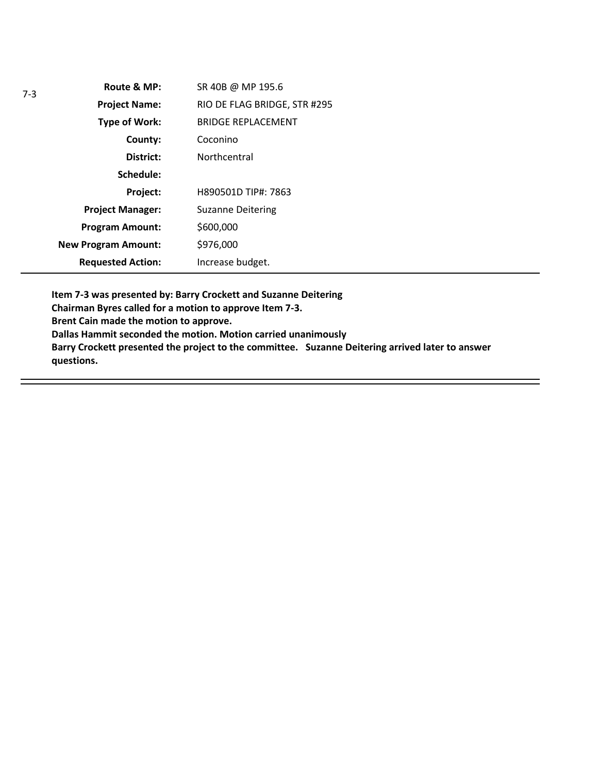| Route & MP:                | SR 40B @ MP 195.6            |
|----------------------------|------------------------------|
| <b>Project Name:</b>       | RIO DE FLAG BRIDGE, STR #295 |
| <b>Type of Work:</b>       | <b>BRIDGE REPLACEMENT</b>    |
| County:                    | Coconino                     |
| District:                  | Northcentral                 |
| Schedule:                  |                              |
| Project:                   | H890501D TIP#: 7863          |
| <b>Project Manager:</b>    | <b>Suzanne Deitering</b>     |
| <b>Program Amount:</b>     | \$600,000                    |
| <b>New Program Amount:</b> | \$976,000                    |
| <b>Requested Action:</b>   | Increase budget.             |

**Item 7-3 was presented by: Barry Crockett and Suzanne Deitering** 

**Chairman Byres called for a motion to approve Item 7-3.**

**Brent Cain made the motion to approve.** 

**Dallas Hammit seconded the motion. Motion carried unanimously** 

**Barry Crockett presented the project to the committee. Suzanne Deitering arrived later to answer questions.**